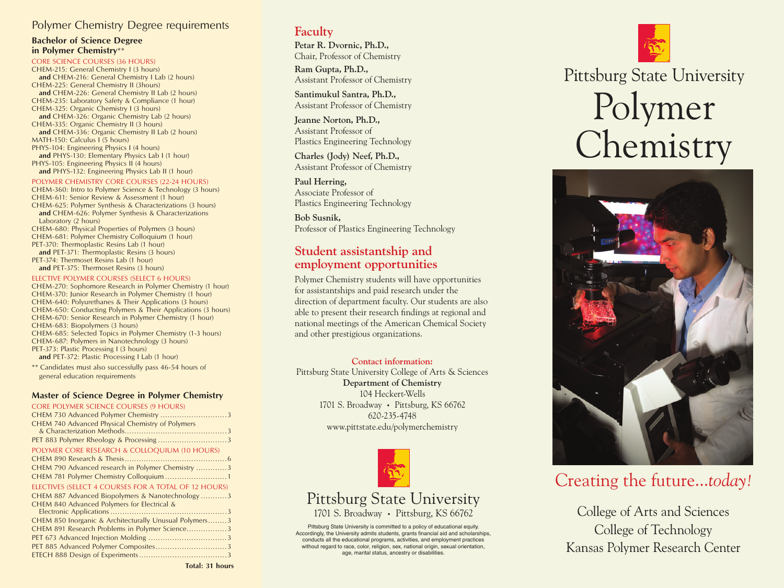## Polymer Chemistry Degree requirements

### **Bachelor of Science Degree in Polymer Chemistry**\*\*

#### CORE SCIENCE COURSES (36 HOURS)

CHEM-215: General Chemistry I (3 hours) **and** CHEM-216: General Chemistry I Lab (2 hours) CHEM-225: General Chemistry II (3hours) and CHEM-226: General Chemistry II Lab (2 hours) CHEM-235: Laboratory Safety & Compliance (1 hour) CHEM-325: Organic Chemistry I (3 hours) and CHEM-326: Organic Chemistry Lab (2 hours) CHEM-335: Organic Chemistry II (3 hours) and CHEM-336: Organic Chemistry II Lab (2 hours) MATH-150: Calculus I (5 hours) PHYS-104: Engineering Physics I (4 hours) and PHYS-130: Elementary Physics Lab I (1 hour) PHYS-105: Engineering Physics II (4 hours) **and** PHYS-132: Engineering Physics Lab II (1 hour)

#### POLYMER CHEMISTRY CORE COURSES (22-24 HOURS)

CHEM-360: Intro to Polymer Science & Technology (3 hours) CHEM-611: Senior Review & Assessment (1 hour) CHEM-625: Polymer Synthesis & Characterizations (3 hours) and CHEM-626: Polymer Synthesis & Characterizations Laboratory (2 hours) CHEM-680: Physical Properties of Polymers (3 hours) CHEM-681: Polymer Chemistry Colloquium (1 hour)

PET-370: Thermoplastic Resins Lab (1 hour) **and** PET-371: Thermoplastic Resins (3 hours) PET-374: Thermoset Resins Lab (1 hour) **and** PET-375: Thermoset Resins (3 hours)

#### ELECTIVE POLYMER COURSES (SELECT 6 HOURS)

CHEM-270: Sophomore Research in Polymer Chemistry (1 hour) CHEM-370: Junior Research in Polymer Chemistry (1 hour) CHEM-640: Polyurethanes & Their Applications (3 hours) CHEM-650: Conducting Polymers & Their Applications (3 hours) CHEM-670: Senior Research in Polymer Chemistry (1 hour) CHEM-683: Biopolymers (3 hours) CHEM-685: Selected Topics in Polymer Chemistry (1-3 hours) CHEM-687: Polymers in Nanotechnology (3 hours) PET-373: Plastic Processing I (3 hours) **and** PET-372: Plastic Processing I Lab (1 hour)

\*\* Candidates must also successfully pass 46-54 hours of general education requirements

#### **Master of Science Degree in Polymer Chemistry**

CORE POLYMER SCIENCE COURSES (9 HOURS) CHEM 730 Advanced Polymer Chemistry ............................3 CHEM 740 Advanced Physical Chemistry of Polymers & Characterization Methods...........................................3 PET 883 Polymer Rheology & Processing .............................3 POLYMER CORE RESEARCH & COLLOQUIUM (10 HOURS) CHEM 890 Research & Thesis...........................................6 CHEM 790 Advanced research in Polymer Chemistry .............3 CHEM 781 Polymer Chemistry Colloquium ..........................1 ELECTIVES (SELECT 4 COURSES FOR A TOTAL OF 12 HOURS) CHEM 887 Advanced Biopolymers & Nanotechnology ...........3 CHEM 840 Advanced Polymers for Electrical & Electronic Applications.................................................3 CHEM 850 Inorganic & Architecturally Unusual Polymers........3 CHEM 891 Research Problems in Polymer Science.................3 PET 673 Advanced Injection Molding .................................3 PET 885 Advanced Polymer Composites.................................3 ETECH 888 Design of Experiments.....................................3

# **Faculty**

**Petar R. Dvornic, Ph.D.,** Chair, Professor of Chemistry

**Ram Gupta, Ph.D.,** Assistant Professor of Chemistry

**Santimukul Santra, Ph.D.,** Assistant Professor of Chemistry

**Jeanne Norton, Ph.D.,** Assistant Professor of Plastics Engineering Technology

**Charles (Jody) Neef, Ph.D.,** Assistant Professor of Chemistry

**Paul Herring,** Associate Professor of Plastics Engineering Technology

**Bob Susnik,** Professor of Plastics Engineering Technology

## **Student assistantship and employment opportunities**

Polymer Chemistry students will have opportunities for assistantships and paid research under the direction of department faculty. Our students are also able to present their research findings at regional and national meetings of the American Chemical Society and other prestigious organizations.

### **Contact information:**

Pittsburg State University College of Arts & Sciences **Department of Chemistry** 104 Heckert-Wells 1701 S. Broadway • Pittsburg, KS 66762 620-235-4748 www.pittstate.edu/polymerchemistry



# Pittsburg State University 1701 S. Broadway • Pittsburg, KS 66762

Pittsburg State University is committed to a policy of educational equity. Accordingly, the University admits students, grants financial aid and scholarships, conducts all the educational programs, activities, and employment practices without regard to race, color, religion, sex, national origin, sexual orientation, age, marital status, ancestry or disabilities.



# Polymer Chemistry



# Creating the future...*today!*

College of Arts and Sciences College of Technology Kansas Polymer Research Center